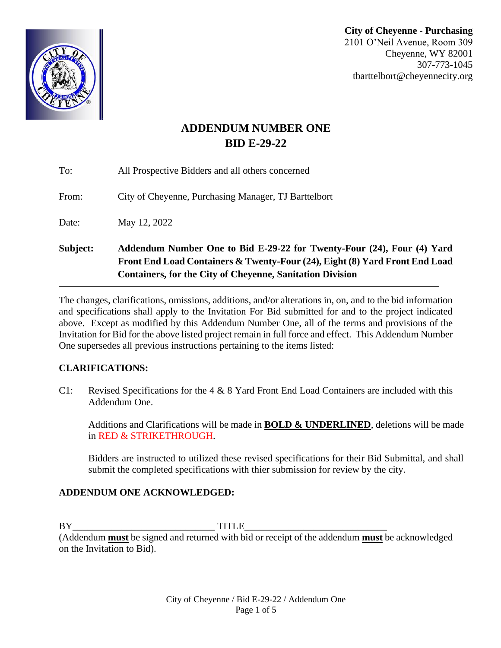**City of Cheyenne - Purchasing**  2101 O'Neil Avenue, Room 309 Cheyenne, WY 82001 307-773-1045 tbarttelbort@cheyennecity.org

# **ADDENDUM NUMBER ONE BID E-29-22**

| Subject: | Addendum Number One to Bid E-29-22 for Twenty-Four (24), Four (4) Yard<br>Front End Load Containers & Twenty-Four (24), Eight (8) Yard Front End Load<br><b>Containers, for the City of Cheyenne, Sanitation Division</b> |
|----------|---------------------------------------------------------------------------------------------------------------------------------------------------------------------------------------------------------------------------|
| Date:    | May 12, 2022                                                                                                                                                                                                              |
| From:    | City of Cheyenne, Purchasing Manager, TJ Barttelbort                                                                                                                                                                      |
| To:      | All Prospective Bidders and all others concerned                                                                                                                                                                          |

The changes, clarifications, omissions, additions, and/or alterations in, on, and to the bid information and specifications shall apply to the Invitation For Bid submitted for and to the project indicated above. Except as modified by this Addendum Number One, all of the terms and provisions of the Invitation for Bid for the above listed project remain in full force and effect. This Addendum Number One supersedes all previous instructions pertaining to the items listed:

### **CLARIFICATIONS:**

C1: Revised Specifications for the  $4 \& 8$  Yard Front End Load Containers are included with this Addendum One.

Additions and Clarifications will be made in **BOLD & UNDERLINED**, deletions will be made in RED & STRIKETHROUGH.

Bidders are instructed to utilized these revised specifications for their Bid Submittal, and shall submit the completed specifications with thier submission for review by the city.

# **ADDENDUM ONE ACKNOWLEDGED:**

BY\_\_\_\_\_\_\_\_\_\_\_\_\_\_\_\_\_\_\_\_\_\_\_\_\_\_\_\_\_ TITLE\_\_\_\_\_\_\_\_\_\_\_\_\_\_\_\_\_\_\_\_\_\_\_\_\_\_\_\_\_

(Addendum **must** be signed and returned with bid or receipt of the addendum **must** be acknowledged on the Invitation to Bid).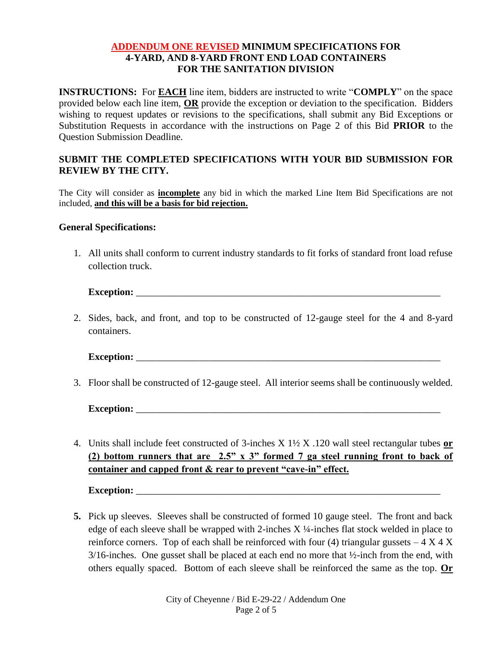#### **ADDENDUM ONE REVISED MINIMUM SPECIFICATIONS FOR 4-YARD, AND 8-YARD FRONT END LOAD CONTAINERS FOR THE SANITATION DIVISION**

**INSTRUCTIONS:** For **EACH** line item, bidders are instructed to write "**COMPLY**" on the space provided below each line item, **OR** provide the exception or deviation to the specification. Bidders wishing to request updates or revisions to the specifications, shall submit any Bid Exceptions or Substitution Requests in accordance with the instructions on Page 2 of this Bid **PRIOR** to the Question Submission Deadline.

### **SUBMIT THE COMPLETED SPECIFICATIONS WITH YOUR BID SUBMISSION FOR REVIEW BY THE CITY.**

The City will consider as **incomplete** any bid in which the marked Line Item Bid Specifications are not included, **and this will be a basis for bid rejection.**

#### **General Specifications:**

1. All units shall conform to current industry standards to fit forks of standard front load refuse collection truck.

**Exception:**  $\blacksquare$ 

2. Sides, back, and front, and top to be constructed of 12-gauge steel for the 4 and 8-yard containers.

**Exception:**  $\blacksquare$ 

3. Floor shall be constructed of 12-gauge steel. All interior seems shall be continuously welded.

**Exception:** \_\_\_\_\_\_\_\_\_\_\_\_\_\_\_\_\_\_\_\_\_\_\_\_\_\_\_\_\_\_\_\_\_\_\_\_\_\_\_\_\_\_\_\_\_\_\_\_\_\_\_\_\_\_\_\_\_\_\_\_\_\_

4. Units shall include feet constructed of 3-inches X 1½ X .120 wall steel rectangular tubes **or (2) bottom runners that are 2.5" x 3" formed 7 ga steel running front to back of container and capped front & rear to prevent "cave-in" effect.**

**Exception:**  $\blacksquare$ 

**5.** Pick up sleeves. Sleeves shall be constructed of formed 10 gauge steel. The front and back edge of each sleeve shall be wrapped with 2-inches X ¼-inches flat stock welded in place to reinforce corners. Top of each shall be reinforced with four (4) triangular gussets  $-4 \times 4 \times$  $3/16$ -inches. One gusset shall be placed at each end no more that  $\frac{1}{2}$ -inch from the end, with others equally spaced. Bottom of each sleeve shall be reinforced the same as the top. **Or**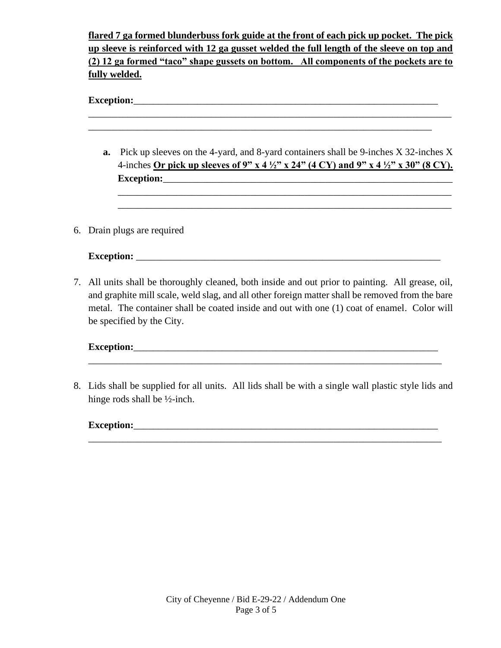**flared 7 ga formed blunderbuss fork guide at the front of each pick up pocket. The pick up sleeve is reinforced with 12 ga gusset welded the full length of the sleeve on top and (2) 12 ga formed "taco" shape gussets on bottom. All components of the pockets are to fully welded.**

**Exception:** 

|  | <b>a.</b> Pick up sleeves on the 4-yard, and 8-yard containers shall be 9-inches X 32-inches X<br>4-inches Or pick up sleeves of 9" x 4 $\frac{1}{2}$ " x 24" (4 CY) and 9" x 4 $\frac{1}{2}$ " x 30" (8 CY). |
|--|---------------------------------------------------------------------------------------------------------------------------------------------------------------------------------------------------------------|
|  | 6. Drain plugs are required                                                                                                                                                                                   |
|  | Exception:                                                                                                                                                                                                    |

7. All units shall be thoroughly cleaned, both inside and out prior to painting. All grease, oil, and graphite mill scale, weld slag, and all other foreign matter shall be removed from the bare metal. The container shall be coated inside and out with one (1) coat of enamel. Color will be specified by the City.

## **Exception:**\_\_\_\_\_\_\_\_\_\_\_\_\_\_\_\_\_\_\_\_\_\_\_\_\_\_\_\_\_\_\_\_\_\_\_\_\_\_\_\_\_\_\_\_\_\_\_\_\_\_\_\_\_\_\_\_\_\_\_\_\_\_

8. Lids shall be supplied for all units. All lids shall be with a single wall plastic style lids and hinge rods shall be ½-inch.

\_\_\_\_\_\_\_\_\_\_\_\_\_\_\_\_\_\_\_\_\_\_\_\_\_\_\_\_\_\_\_\_\_\_\_\_\_\_\_\_\_\_\_\_\_\_\_\_\_\_\_\_\_\_\_\_\_\_\_\_\_\_\_\_\_\_\_\_\_\_\_\_

**Exception:**\_\_\_\_\_\_\_\_\_\_\_\_\_\_\_\_\_\_\_\_\_\_\_\_\_\_\_\_\_\_\_\_\_\_\_\_\_\_\_\_\_\_\_\_\_\_\_\_\_\_\_\_\_\_\_\_\_\_\_\_\_\_ \_\_\_\_\_\_\_\_\_\_\_\_\_\_\_\_\_\_\_\_\_\_\_\_\_\_\_\_\_\_\_\_\_\_\_\_\_\_\_\_\_\_\_\_\_\_\_\_\_\_\_\_\_\_\_\_\_\_\_\_\_\_\_\_\_\_\_\_\_\_\_\_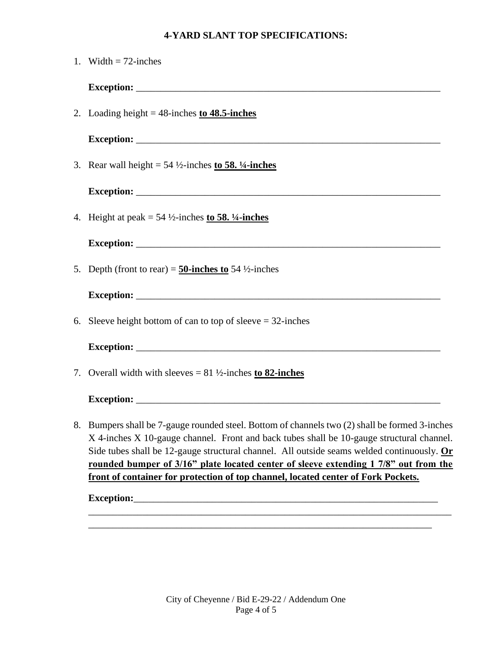# **4-YARD SLANT TOP SPECIFICATIONS:**

| 1. Width $= 72$ -inches                                                                                                                                                                                                                                                                                                                                                             |
|-------------------------------------------------------------------------------------------------------------------------------------------------------------------------------------------------------------------------------------------------------------------------------------------------------------------------------------------------------------------------------------|
|                                                                                                                                                                                                                                                                                                                                                                                     |
| 2. Loading height = $48$ -inches to $48.5$ -inches                                                                                                                                                                                                                                                                                                                                  |
|                                                                                                                                                                                                                                                                                                                                                                                     |
| 3. Rear wall height = $54\frac{1}{2}$ -inches to 58. $\frac{1}{4}$ -inches                                                                                                                                                                                                                                                                                                          |
|                                                                                                                                                                                                                                                                                                                                                                                     |
| 4. Height at peak = $54\frac{1}{2}$ -inches to 58. $\frac{1}{4}$ -inches                                                                                                                                                                                                                                                                                                            |
|                                                                                                                                                                                                                                                                                                                                                                                     |
| 5. Depth (front to rear) = 50-inches to 54 $\frac{1}{2}$ -inches                                                                                                                                                                                                                                                                                                                    |
|                                                                                                                                                                                                                                                                                                                                                                                     |
| 6. Sleeve height bottom of can to top of sleeve $= 32$ -inches                                                                                                                                                                                                                                                                                                                      |
|                                                                                                                                                                                                                                                                                                                                                                                     |
| 7. Overall width with sleeves = $81\frac{1}{2}$ -inches to 82-inches                                                                                                                                                                                                                                                                                                                |
|                                                                                                                                                                                                                                                                                                                                                                                     |
| 8. Bumpers shall be 7-gauge rounded steel. Bottom of channels two (2) shall be formed 3-inches<br>X 4-inches X 10-gauge channel. Front and back tubes shall be 10-gauge structural channel.<br>Side tubes shall be 12-gauge structural channel. All outside seams welded continuously. $Or$<br>rounded bumper of 3/16" plate located center of sleeve extending 1 7/8" out from the |
| front of container for protection of top channel, located center of Fork Pockets.                                                                                                                                                                                                                                                                                                   |
|                                                                                                                                                                                                                                                                                                                                                                                     |
|                                                                                                                                                                                                                                                                                                                                                                                     |